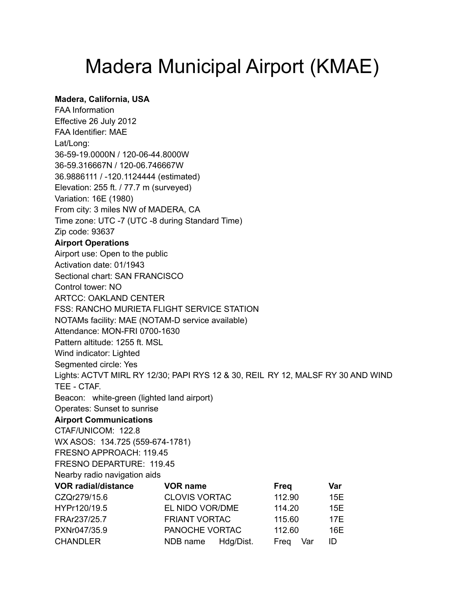## Madera Municipal Airport (KMAE)

## **Madera, California, USA**

FAA Information Effective 26 July 2012 FAA Identifier: MAE Lat/Long: 36-59-19.0000N / 120-06-44.8000W 36-59.316667N / 120-06.746667W 36.9886111 / -120.1124444 (estimated) Elevation: 255 ft. / 77.7 m (surveyed) Variation: 16E (1980) From city: 3 miles NW of MADERA, CA Time zone: UTC -7 (UTC -8 during Standard Time) Zip code: 93637 **Airport Operations** Airport use: Open to the public Activation date: 01/1943 Sectional chart: SAN FRANCISCO Control tower: NO ARTCC: OAKLAND CENTER FSS: RANCHO MURIETA FLIGHT SERVICE STATION NOTAMs facility: MAE (NOTAM-D service available) Attendance: MON-FRI 0700-1630 Pattern altitude: 1255 ft. MSL Wind indicator: Lighted Segmented circle: Yes Lights: ACTVT MIRL RY 12/30; PAPI RYS 12 & 30, REIL RY 12, MALSF RY 30 AND WIND TEE - CTAF. Beacon: white-green (lighted land airport) Operates: Sunset to sunrise **Airport Communications** CTAF/UNICOM: 122.8 WX ASOS: 134.725 (559-674-1781) FRESNO APPROACH: 119.45 FRESNO DEPARTURE: 119.45 Nearby radio navigation aids **VOR radial/distance VOR name Freq Var** CZQr279/15.6 CLOVIS VORTAC 112.90 15E HYPr120/19.5 EL NIDO VOR/DME 114.20 15E FRAr237/25.7 FRIANT VORTAC 115.60 17E PXNr047/35.9 PANOCHE VORTAC 112.60 16E CHANDLER NDB name Hdg/Dist. Freq Var ID